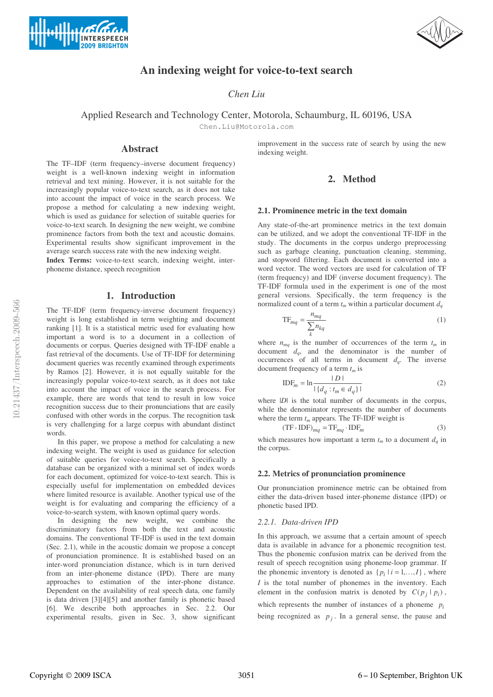



# **An indexing weight for voice-to-text search**

*Chen Liu*

Applied Research and Technology Center, Motorola, Schaumburg, IL 60196, USA

Chen.Liu@Motorola.com

# **Abstract**

The TF–IDF (term frequency–inverse document frequency) weight is a well-known indexing weight in information retrieval and text mining. However, it is not suitable for the increasingly popular voice-to-text search, as it does not take into account the impact of voice in the search process. We propose a method for calculating a new indexing weight, which is used as guidance for selection of suitable queries for voice-to-text search. In designing the new weight, we combine prominence factors from both the text and acoustic domains. Experimental results show significant improvement in the average search success rate with the new indexing weight.

**Index Terms:** voice-to-text search, indexing weight, interphoneme distance, speech recognition

# **1. Introduction**

The TF-IDF (term frequency-inverse document frequency) weight is long established in term weighting and document ranking [1]. It is a statistical metric used for evaluating how important a word is to a document in a collection of documents or corpus. Queries designed with TF-IDF enable a fast retrieval of the documents. Use of TF-IDF for determining document queries was recently examined through experiments by Ramos [2]. However, it is not equally suitable for the increasingly popular voice-to-text search, as it does not take into account the impact of voice in the search process. For example, there are words that tend to result in low voice recognition success due to their pronunciations that are easily confused with other words in the corpus. The recognition task is very challenging for a large corpus with abundant distinct words.

In this paper, we propose a method for calculating a new indexing weight. The weight is used as guidance for selection of suitable queries for voice-to-text search. Specifically a database can be organized with a minimal set of index words for each document, optimized for voice-to-text search. This is especially useful for implementation on embedded devices where limited resource is available. Another typical use of the weight is for evaluating and comparing the efficiency of a voice-to-search system, with known optimal query words.

In designing the new weight, we combine the discriminatory factors from both the text and acoustic domains. The conventional TF-IDF is used in the text domain (Sec. 2.1), while in the acoustic domain we propose a concept of pronunciation prominence. It is established based on an inter-word pronunciation distance, which is in turn derived from an inter-phoneme distance (IPD). There are many approaches to estimation of the inter-phone distance. Dependent on the availability of real speech data, one family is data driven [3][4][5] and another family is phonetic based [6]. We describe both approaches in Sec. 2.2. Our experimental results, given in Sec. 3, show significant improvement in the success rate of search by using the new indexing weight.

# **2. Method**

### **2.1. Prominence metric in the text domain**

Any state-of-the-art prominence metrics in the text domain can be utilized, and we adopt the conventional TF-IDF in the study. The documents in the corpus undergo preprocessing such as garbage cleaning, punctuation cleaning, stemming, and stopword filtering. Each document is converted into a word vector. The word vectors are used for calculation of TF (term frequency) and IDF (inverse document frequency). The TF-IDF formula used in the experiment is one of the most general versions. Specifically, the term frequency is the normalized count of a term  $t_m$  within a particular document  $d_a$ 

$$
TF_{mq} = \frac{n_{mq}}{\sum_{k} n_{kq}}
$$
 (1)

where  $n_{mq}$  is the number of occurrences of the term  $t_m$  in document  $d_q$ , and the denominator is the number of occurrences of all terms in document  $d_q$ . The inverse document frequency of a term  $t_m$  is

$$
IDF_m = \ln \frac{|D|}{|\{d_q : t_m \in d_q\}|}
$$
 (2)

where  $|D|$  is the total number of documents in the corpus, while the denominator represents the number of documents where the term  $t_m$  appears. The TF-IDF weight is

$$
(TF-IDF)_{mq} = TF_{mq} \cdot IDF_m \tag{3}
$$

which measures how important a term  $t_m$  to a document  $d_a$  in the corpus.

#### **2.2. Metrics of pronunciation prominence**

Our pronunciation prominence metric can be obtained from either the data-driven based inter-phoneme distance (IPD) or phonetic based IPD.

## *2.2.1. Data-driven IPD*

In this approach, we assume that a certain amount of speech data is available in advance for a phonemic recognition test. Thus the phonemic confusion matrix can be derived from the result of speech recognition using phoneme-loop grammar. If the phonemic inventory is denoted as  $\{p_i | i = 1, ..., I\}$ , where *I* is the total number of phonemes in the inventory. Each element in the confusion matrix is denoted by  $C(p_i | p_i)$ , which represents the number of instances of a phoneme *pi* being recognized as  $p_i$ . In a general sense, the pause and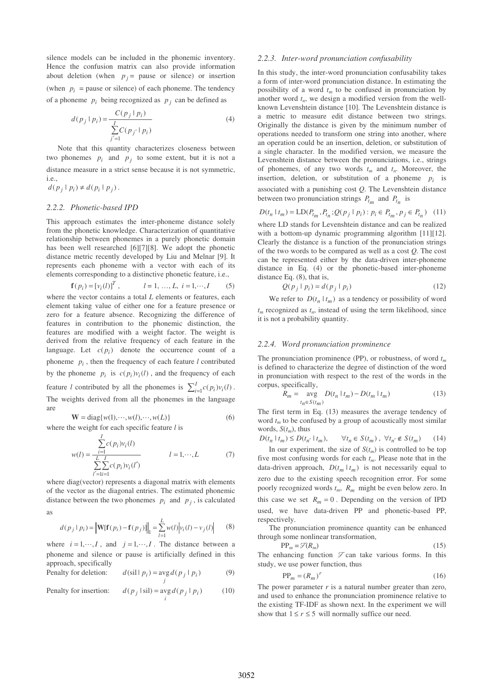silence models can be included in the phonemic inventory. Hence the confusion matrix can also provide information about deletion (when  $p_i$  = pause or silence) or insertion (when  $p_i$  = pause or silence) of each phoneme. The tendency of a phoneme  $p_i$  being recognized as  $p_i$  can be defined as

$$
d(p_j | p_i) = \frac{C(p_j | p_i)}{\sum_{j'=1}^{I} C(p_{j'} | p_i)}
$$
(4)

Note that this quantity characterizes closeness between two phonemes  $p_i$  and  $p_j$  to some extent, but it is not a distance measure in a strict sense because it is not symmetric, i.e.,

$$
d(p_j \mid p_i) \neq d(p_i \mid p_j)\,.
$$

### *2.2.2. Phonetic-based IPD*

This approach estimates the inter-phoneme distance solely from the phonetic knowledge. Characterization of quantitative relationship between phonemes in a purely phonetic domain has been well researched [6][7][8]. We adopt the phonetic distance metric recently developed by Liu and Melnar [9]. It represents each phoneme with a vector with each of its elements corresponding to a distinctive phonetic feature, i.e.,

$$
\mathbf{f}(p_i) = [v_i(l)]^T, \qquad l = 1, ..., L, i = 1, ..., I \qquad (5)
$$

where the vector contains a total *L* elements or features, each element taking value of either one for a feature presence or zero for a feature absence. Recognizing the difference of features in contribution to the phonemic distinction, the features are modified with a weight factor. The weight is derived from the relative frequency of each feature in the language. Let  $c(p_i)$  denote the occurrence count of a phoneme  $p_i$ , then the frequency of each feature *l* contributed by the phoneme  $p_i$  is  $c(p_i)v_i(l)$ , and the frequency of each feature *l* contributed by all the phonemes is  $\sum_{i=1}^{l}$  $\sum_{i=1}^{I} c(p_i) v_i(l)$ . The weights derived from all the phonemes in the language are  $W = diag\{w(1), \dots, w(l), \dots, w(L)\}$  (6)

where the weight for each specific feature *l* is

$$
w(l) = \frac{\sum_{i=1}^{I} c(p_i) v_i(l)}{\sum_{l'=1}^{L} \sum_{i=1}^{I} c(p_i) v_i(l')} \qquad l = 1, \cdots, L \qquad (7)
$$

where diag(vector) represents a diagonal matrix with elements of the vector as the diagonal entries. The estimated phonemic distance between the two phonemes  $p_i$  and  $p_j$ , is calculated as

$$
d(p_j | p_i) = \left\| \mathbf{W}[\mathbf{f}(p_i) - \mathbf{f}(p_j)] \right\|_1 = \sum_{l=1}^{L} w(l) \left| v_i(l) - v_j(l) \right| \tag{8}
$$

where  $i = 1, \dots, I$ , and  $j = 1, \dots, I$ . The distance between a phoneme and silence or pause is artificially defined in this approach, specifically

Penalty for deletion: 
$$
d(\text{sil} \mid p_i) = \underset{j}{\text{avg}} d(p_j \mid p_i)
$$
 (9)

Penalty for insertion:  $d(p_j | \text{sil}) = \underset{i}{\arg d(p_j | p_i)}$  (10)

#### *2.2.3. Inter-word pronunciation confusability*

In this study, the inter-word pronunciation confusability takes a form of inter-word pronunciation distance. In estimating the possibility of a word  $t_m$  to be confused in pronunciation by another word  $t_n$ , we design a modified version from the wellknown Levenshtein distance [10]. The Levenshtein distance is a metric to measure edit distance between two strings. Originally the distance is given by the minimum number of operations needed to transform one string into another, where an operation could be an insertion, deletion, or substitution of a single character. In the modified version, we measure the Levenshtein distance between the pronunciations, i.e., strings of phonemes, of any two words  $t_m$  and  $t_n$ . Moreover, the insertion, deletion, or substitution of a phoneme  $p_i$  is associated with a punishing cost *Q*. The Levenshtein distance between two pronunciation strings  $P_{t_m}$  and  $P_{t_n}$  is

$$
D(t_n \mid t_m) = \text{LD}(P_{t_m}, P_{t_n}; Q(p_j \mid p_i) : p_i \in P_{t_m}, p_j \in P_{t_n}) \quad (11)
$$

where LD stands for Levenshtein distance and can be realized with a bottom-up dynamic programming algorithm [11][12]. Clearly the distance is a function of the pronunciation strings of the two words to be compared as well as a cost *Q*. The cost can be represented either by the data-driven inter-phoneme distance in Eq. (4) or the phonetic-based inter-phoneme distance Eq. (8), that is,

$$
Q(p_j | p_i) = d(p_j | p_i)
$$
\n(12)

We refer to  $D(t_n | t_m)$  as a tendency or possibility of word  $t_m$  recognized as  $t_n$ , instead of using the term likelihood, since it is not a probability quantity.

#### *2.2.4. Word pronunciation prominence*

The pronunciation prominence (PP), or robustness, of word  $t_m$ is defined to characterize the degree of distinction of the word in pronunciation with respect to the rest of the words in the corpus, specifically,

$$
R_m = \sup_{t_n \in S(t_m)} D(t_n \mid t_m) - D(t_m \mid t_m)
$$
 (13)

The first term in Eq. (13) measures the average tendency of word  $t_m$  to be confused by a group of acoustically most similar words,  $S(t_m)$ , thus

$$
D(t_n \mid t_m) \le D(t_{n'} \mid t_m), \qquad \forall t_n \in S(t_m) , \ \forall t_n \notin S(t_m) \qquad (14)
$$

In our experiment, the size of  $S(t_m)$  is controlled to be top five most confusing words for each  $t_m$ . Please note that in the data-driven approach,  $D(t_m | t_m)$  is not necessarily equal to zero due to the existing speech recognition error. For some poorly recognized words *tm*, *Rm* might be even below zero. In this case we set  $R_m = 0$ . Depending on the version of IPD used, we have data-driven PP and phonetic-based PP, respectively.

The pronunciation prominence quantity can be enhanced through some nonlinear transformation,

$$
PP_m = \mathcal{F}(R_m) \tag{15}
$$

The enhancing function  $\mathcal F$  can take various forms. In this study, we use power function, thus

$$
PP_m = (R_m)^r \tag{16}
$$

The power parameter  $r$  is a natural number greater than zero, and used to enhance the pronunciation prominence relative to the existing TF-IDF as shown next. In the experiment we will show that  $1 \le r \le 5$  will normally suffice our need.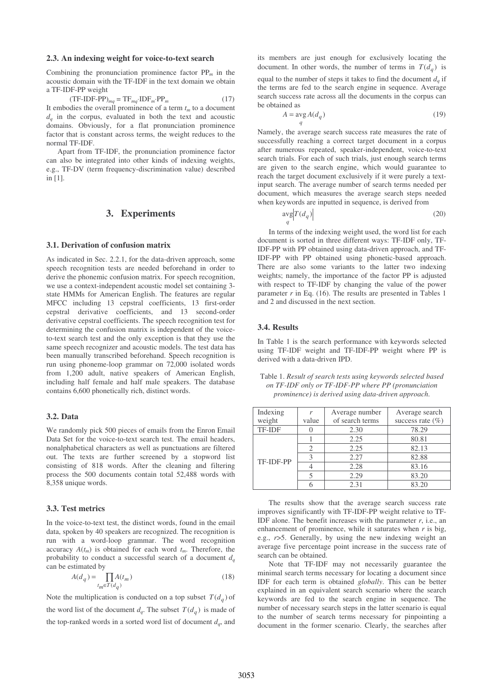#### **2.3. An indexing weight for voice-to-text search**

Combining the pronunciation prominence factor  $PP_m$  in the acoustic domain with the TF-IDF in the text domain we obtain a TF-IDF-PP weight

 $(TF-IDF-PP)_{mq} = TF_{mq} \cdot IDF_m \cdot PP_m$  (17) It embodies the overall prominence of a term  $t_m$  to a document  $d_q$  in the corpus, evaluated in both the text and acoustic domains. Obviously, for a flat pronunciation prominence factor that is constant across terms, the weight reduces to the normal TF-IDF.

Apart from TF-IDF, the pronunciation prominence factor can also be integrated into other kinds of indexing weights, e.g., TF-DV (term frequency-discrimination value) described in [1].

# **3. Experiments**

#### **3.1. Derivation of confusion matrix**

As indicated in Sec. 2.2.1, for the data-driven approach, some speech recognition tests are needed beforehand in order to derive the phonemic confusion matrix. For speech recognition, we use a context-independent acoustic model set containing 3 state HMMs for American English. The features are regular MFCC including 13 cepstral coefficients, 13 first-order cepstral derivative coefficients, and 13 second-order derivative cepstral coefficients. The speech recognition test for determining the confusion matrix is independent of the voiceto-text search test and the only exception is that they use the same speech recognizer and acoustic models. The test data has been manually transcribed beforehand. Speech recognition is run using phoneme-loop grammar on 72,000 isolated words from 1,200 adult, native speakers of American English, including half female and half male speakers. The database contains 6,600 phonetically rich, distinct words.

#### **3.2. Data**

We randomly pick 500 pieces of emails from the Enron Email Data Set for the voice-to-text search test. The email headers, nonalphabetical characters as well as punctuations are filtered out. The texts are further screened by a stopword list consisting of 818 words. After the cleaning and filtering process the 500 documents contain total 52,488 words with 8,358 unique words.

### **3.3. Test metrics**

In the voice-to-text test, the distinct words, found in the email data, spoken by 40 speakers are recognized. The recognition is run with a word-loop grammar. The word recognition accuracy  $A(t_m)$  is obtained for each word  $t_m$ . Therefore, the probability to conduct a successful search of a document  $d_q$ can be estimated by

$$
A(d_q) = \prod_{t_m \in T(d_q)} A(t_m)
$$
\n(18)

Note the multiplication is conducted on a top subset  $T(d_a)$  of the word list of the document  $d_q$ . The subset  $T(d_q)$  is made of the top-ranked words in a sorted word list of document  $d_q$ , and

its members are just enough for exclusively locating the document. In other words, the number of terms in  $T(d_a)$  is equal to the number of steps it takes to find the document  $d_q$  if the terms are fed to the search engine in sequence. Average search success rate across all the documents in the corpus can be obtained as

$$
A = \arg A(d_q) \tag{19}
$$

Namely, the average search success rate measures the rate of successfully reaching a correct target document in a corpus after numerous repeated, speaker-independent, voice-to-text search trials. For each of such trials, just enough search terms are given to the search engine, which would guarantee to reach the target document exclusively if it were purely a textinput search. The average number of search terms needed per document, which measures the average search steps needed when keywords are inputted in sequence, is derived from

$$
\frac{\text{avg}}{q} \left| T(d_q) \right| \tag{20}
$$

In terms of the indexing weight used, the word list for each document is sorted in three different ways: TF-IDF only, TF-IDF-PP with PP obtained using data-driven approach, and TF-IDF-PP with PP obtained using phonetic-based approach. There are also some variants to the latter two indexing weights; namely, the importance of the factor PP is adjusted with respect to TF-IDF by changing the value of the power parameter  $r$  in Eq. (16). The results are presented in Tables 1 and 2 and discussed in the next section.

#### **3.4. Results**

In Table 1 is the search performance with keywords selected using TF-IDF weight and TF-IDF-PP weight where PP is derived with a data-driven IPD.

Table 1. *Result of search tests using keywords selected based on TF-IDF only or TF-IDF-PP where PP (pronunciation prominence) is derived using data-driven approach*.

| Indexing      |       | Average number  | Average search       |
|---------------|-------|-----------------|----------------------|
| weight        | value | of search terms | success rate $(\% )$ |
| <b>TF-IDF</b> |       | 2.30            | 78.29                |
| TF-IDF-PP     |       | 2.25            | 80.81                |
|               | 2     | 2.25            | 82.13                |
|               |       | 2.27            | 82.88                |
|               |       | 2.28            | 83.16                |
|               |       | 2.29            | 83.20                |
|               |       | 2.31            | 83.20                |

The results show that the average search success rate improves significantly with TF-IDF-PP weight relative to TF-IDF alone. The benefit increases with the parameter *r*, i.e., an enhancement of prominence, while it saturates when *r* is big, e.g., *r*>5. Generally, by using the new indexing weight an average five percentage point increase in the success rate of search can be obtained.

Note that TF-IDF may not necessarily guarantee the minimal search terms necessary for locating a document since IDF for each term is obtained *globally*. This can be better explained in an equivalent search scenario where the search keywords are fed to the search engine in sequence. The number of necessary search steps in the latter scenario is equal to the number of search terms necessary for pinpointing a document in the former scenario. Clearly, the searches after